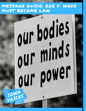# MESSAGE GUIDE: ROE V. WADE MUST BECOME LAW

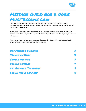

# Message Guide: Roe v. Wade Must Become Law

For too long Senator Grassley has stacked our nation's highest court. Now, after fast tracking conservative judges and blocking judges like Merrick Garland, the Supreme Court has ruled in favor of the minority public opinion.

Two-thirds of Americans believe abortion should be accessible, but today's Supreme Court decision reverses Roe v. Wade and paves the way for anti-abortion legislators, like Gov. Kim Reynolds, to make it a crime in Iowa.

Iowans know this move lacks common sense and puts people in danger. We need leaders who will support President Biden's effort to make Roe v. Wade law.

| <b>KEY MESSAGE GUIDANCE</b> |   |
|-----------------------------|---|
| <b>SAMPLE MESSAGE</b>       |   |
| <b>SAMPLE MESSAGE</b>       |   |
| <b>SAMPLE MESSAGE</b>       | ¥ |
| KEY RESEARCH TAKEAWAYS      | ¥ |
| SOCIAL MEDIA GRAPHICS       |   |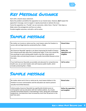

## <span id="page-2-0"></span>Key Message Guidance

Start with a shared values statement.

Name the problem and define the opposition to our shared value. *However, don't repeat the opposition's message, even to negate it. Speak proactively to reframe the issue.*

Frame the opposition as a "hurdle" we can overcome, rather than a "barrier" that stops us.

Make voters the protagonists and focus on values.

Provide tangible outcomes, end with a call to action.

### <span id="page-2-1"></span>Sample message

| No matter our income or where we live, most lowans value the freedom to<br>access safe and legal abortion protected by Roe v. Wade.                                                                                                                                                                                                     | <b>Shared Value</b>                       |
|-----------------------------------------------------------------------------------------------------------------------------------------------------------------------------------------------------------------------------------------------------------------------------------------------------------------------------------------|-------------------------------------------|
| But Governor Reynolds' agenda is not about improving the health of lowans<br>but instead would take away their fundamental rights. If she truly valued life,<br>she would get to work solving public health crises like rising maternal<br>mortality rates and alarming increases in sexually transmitted diseases across<br>the state. | Define the<br>opposition and<br>tangibles |
| If we hold Governor Reynolds accountable and advocate for comprehensive<br>health care, we can elect leaders who will improve public health, which<br>includes protecting Roe v. Wade.                                                                                                                                                  | Call to action                            |

### <span id="page-2-2"></span>Sample message

| No matter where we're from or what we do, most lowans believe in the<br>freedom to access contraception and the education we need to prevent<br>sexually transmitted diseases.                                                                                                                                                 | <b>Shared value</b>                    |
|--------------------------------------------------------------------------------------------------------------------------------------------------------------------------------------------------------------------------------------------------------------------------------------------------------------------------------|----------------------------------------|
| Unfortunately, Governor Reynolds has significantly limited access to<br>contraception and sex education with her reckless policies. As a result,<br>sexually transmitted disease is skyrocketing in Iowa, along with unintended<br>pregnancies. And abortions have increased by more than 40 percent in the<br>past two years. | Define the opposition<br>and tangibles |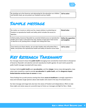

| By standing up to the Governor and advocating for the education our children $\int$ Call to action<br>and families need, we can protect our freedoms and our health. |  |
|----------------------------------------------------------------------------------------------------------------------------------------------------------------------|--|
|                                                                                                                                                                      |  |

#### <span id="page-3-0"></span>Sample message

| No matter our income or where we live, lowans believe in protecting our<br>freedom to reproductive health and safety which includes the access to<br>abortion.                                                                     | <b>Shared value</b>                    |
|------------------------------------------------------------------------------------------------------------------------------------------------------------------------------------------------------------------------------------|----------------------------------------|
| Unfortunately, Governor Reynolds has severely limited access to reproductive<br>health care in Iowa. If she had it her way, women in Iowa won't have access<br>to abortion at all, putting them in danger and risking their lives. | Define the opposition<br>and tangibles |
| If we stand up to these attacks, we can elect leaders who will protect Roe v.<br>Wade, and protect the reproductive health and safety of women across lowa.                                                                        | Call to action                         |

## <span id="page-3-1"></span>Key Research Takeaways

Our message research shows that **public health** messaging most consistently moved voters to dissaprove of Governor Reynolds' anti-abortion and anti-reproductive health agenda. On each metric posed the public health message resonated with Iowa voters.

Coming in behind **public health** were **sex education**, and then **danger**. Across many demographics, Iowa voters were moved by a need to provide **sex education** for **public heath**, and the **dangerous impact limited abortion services have on women** in Iowa.

These findings line up with previous testing that shows **access to healthcare** is strongly supported in Iowa and motivates tough opinions about state leaders who stand in the way of increased access.

Our best message and image tests also lean into values of freedom and independence. Efforts to take these rights and values away are successful ways to frame our messages and fight for Roe v. Wade.